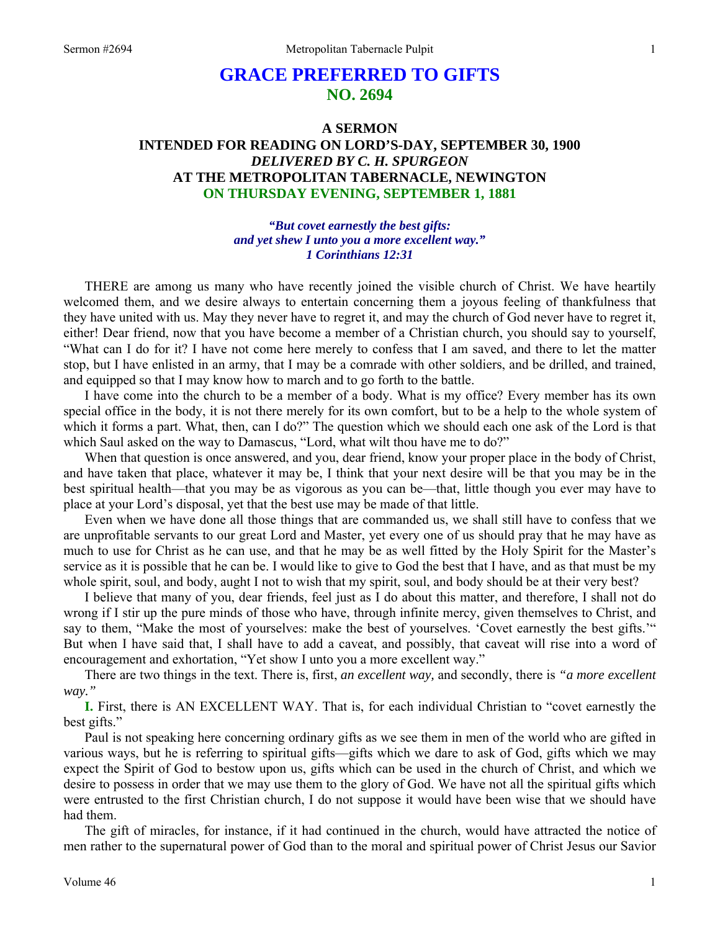# **GRACE PREFERRED TO GIFTS NO. 2694**

## **A SERMON INTENDED FOR READING ON LORD'S-DAY, SEPTEMBER 30, 1900**  *DELIVERED BY C. H. SPURGEON*  **AT THE METROPOLITAN TABERNACLE, NEWINGTON ON THURSDAY EVENING, SEPTEMBER 1, 1881**

*"But covet earnestly the best gifts: and yet shew I unto you a more excellent way." 1 Corinthians 12:31* 

THERE are among us many who have recently joined the visible church of Christ. We have heartily welcomed them, and we desire always to entertain concerning them a joyous feeling of thankfulness that they have united with us. May they never have to regret it, and may the church of God never have to regret it, either! Dear friend, now that you have become a member of a Christian church, you should say to yourself, "What can I do for it? I have not come here merely to confess that I am saved, and there to let the matter stop, but I have enlisted in an army, that I may be a comrade with other soldiers, and be drilled, and trained, and equipped so that I may know how to march and to go forth to the battle.

I have come into the church to be a member of a body. What is my office? Every member has its own special office in the body, it is not there merely for its own comfort, but to be a help to the whole system of which it forms a part. What, then, can I do?" The question which we should each one ask of the Lord is that which Saul asked on the way to Damascus, "Lord, what wilt thou have me to do?"

When that question is once answered, and you, dear friend, know your proper place in the body of Christ, and have taken that place, whatever it may be, I think that your next desire will be that you may be in the best spiritual health—that you may be as vigorous as you can be—that, little though you ever may have to place at your Lord's disposal, yet that the best use may be made of that little.

Even when we have done all those things that are commanded us, we shall still have to confess that we are unprofitable servants to our great Lord and Master, yet every one of us should pray that he may have as much to use for Christ as he can use, and that he may be as well fitted by the Holy Spirit for the Master's service as it is possible that he can be. I would like to give to God the best that I have, and as that must be my whole spirit, soul, and body, aught I not to wish that my spirit, soul, and body should be at their very best?

I believe that many of you, dear friends, feel just as I do about this matter, and therefore, I shall not do wrong if I stir up the pure minds of those who have, through infinite mercy, given themselves to Christ, and say to them, "Make the most of yourselves: make the best of yourselves. 'Covet earnestly the best gifts.'" But when I have said that, I shall have to add a caveat, and possibly, that caveat will rise into a word of encouragement and exhortation, "Yet show I unto you a more excellent way."

There are two things in the text. There is, first, *an excellent way,* and secondly, there is *"a more excellent way."* 

**I.** First, there is AN EXCELLENT WAY. That is, for each individual Christian to "covet earnestly the best gifts."

Paul is not speaking here concerning ordinary gifts as we see them in men of the world who are gifted in various ways, but he is referring to spiritual gifts—gifts which we dare to ask of God, gifts which we may expect the Spirit of God to bestow upon us, gifts which can be used in the church of Christ, and which we desire to possess in order that we may use them to the glory of God. We have not all the spiritual gifts which were entrusted to the first Christian church, I do not suppose it would have been wise that we should have had them.

The gift of miracles, for instance, if it had continued in the church, would have attracted the notice of men rather to the supernatural power of God than to the moral and spiritual power of Christ Jesus our Savior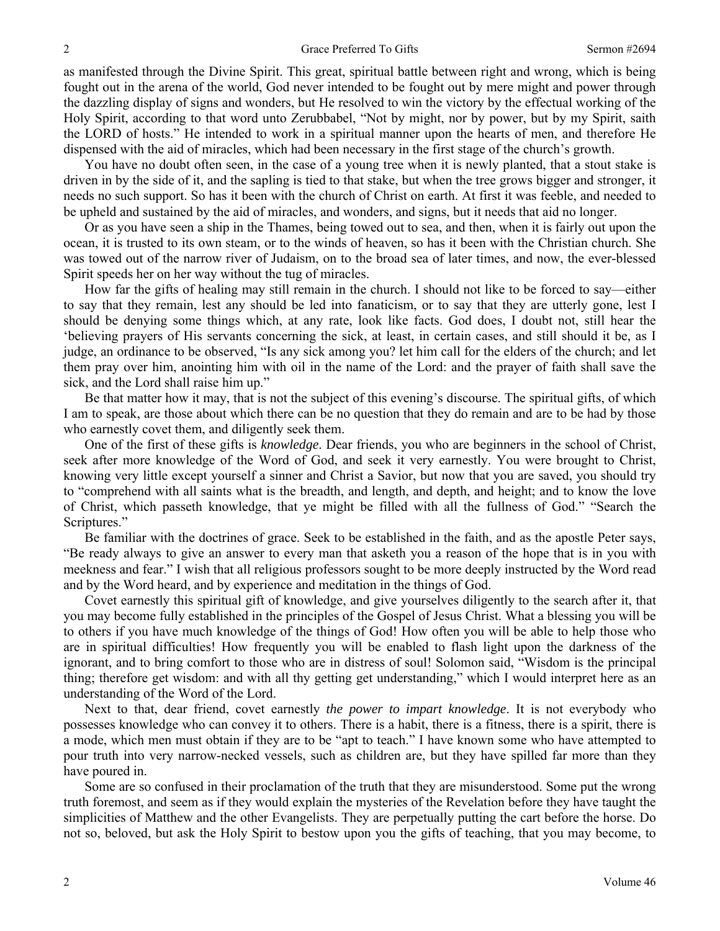as manifested through the Divine Spirit. This great, spiritual battle between right and wrong, which is being fought out in the arena of the world, God never intended to be fought out by mere might and power through the dazzling display of signs and wonders, but He resolved to win the victory by the effectual working of the Holy Spirit, according to that word unto Zerubbabel, "Not by might, nor by power, but by my Spirit, saith the LORD of hosts." He intended to work in a spiritual manner upon the hearts of men, and therefore He dispensed with the aid of miracles, which had been necessary in the first stage of the church's growth.

You have no doubt often seen, in the case of a young tree when it is newly planted, that a stout stake is driven in by the side of it, and the sapling is tied to that stake, but when the tree grows bigger and stronger, it needs no such support. So has it been with the church of Christ on earth. At first it was feeble, and needed to be upheld and sustained by the aid of miracles, and wonders, and signs, but it needs that aid no longer.

Or as you have seen a ship in the Thames, being towed out to sea, and then, when it is fairly out upon the ocean, it is trusted to its own steam, or to the winds of heaven, so has it been with the Christian church. She was towed out of the narrow river of Judaism, on to the broad sea of later times, and now, the ever-blessed Spirit speeds her on her way without the tug of miracles.

How far the gifts of healing may still remain in the church. I should not like to be forced to say—either to say that they remain, lest any should be led into fanaticism, or to say that they are utterly gone, lest I should be denying some things which, at any rate, look like facts. God does, I doubt not, still hear the 'believing prayers of His servants concerning the sick, at least, in certain cases, and still should it be, as I judge, an ordinance to be observed, "Is any sick among you? let him call for the elders of the church; and let them pray over him, anointing him with oil in the name of the Lord: and the prayer of faith shall save the sick, and the Lord shall raise him up."

Be that matter how it may, that is not the subject of this evening's discourse. The spiritual gifts, of which I am to speak, are those about which there can be no question that they do remain and are to be had by those who earnestly covet them, and diligently seek them.

One of the first of these gifts is *knowledge*. Dear friends, you who are beginners in the school of Christ, seek after more knowledge of the Word of God, and seek it very earnestly. You were brought to Christ, knowing very little except yourself a sinner and Christ a Savior, but now that you are saved, you should try to "comprehend with all saints what is the breadth, and length, and depth, and height; and to know the love of Christ, which passeth knowledge, that ye might be filled with all the fullness of God." "Search the Scriptures."

Be familiar with the doctrines of grace. Seek to be established in the faith, and as the apostle Peter says, "Be ready always to give an answer to every man that asketh you a reason of the hope that is in you with meekness and fear." I wish that all religious professors sought to be more deeply instructed by the Word read and by the Word heard, and by experience and meditation in the things of God.

Covet earnestly this spiritual gift of knowledge, and give yourselves diligently to the search after it, that you may become fully established in the principles of the Gospel of Jesus Christ. What a blessing you will be to others if you have much knowledge of the things of God! How often you will be able to help those who are in spiritual difficulties! How frequently you will be enabled to flash light upon the darkness of the ignorant, and to bring comfort to those who are in distress of soul! Solomon said, "Wisdom is the principal thing; therefore get wisdom: and with all thy getting get understanding," which I would interpret here as an understanding of the Word of the Lord.

Next to that, dear friend, covet earnestly *the power to impart knowledge*. It is not everybody who possesses knowledge who can convey it to others. There is a habit, there is a fitness, there is a spirit, there is a mode, which men must obtain if they are to be "apt to teach." I have known some who have attempted to pour truth into very narrow-necked vessels, such as children are, but they have spilled far more than they have poured in.

Some are so confused in their proclamation of the truth that they are misunderstood. Some put the wrong truth foremost, and seem as if they would explain the mysteries of the Revelation before they have taught the simplicities of Matthew and the other Evangelists. They are perpetually putting the cart before the horse. Do not so, beloved, but ask the Holy Spirit to bestow upon you the gifts of teaching, that you may become, to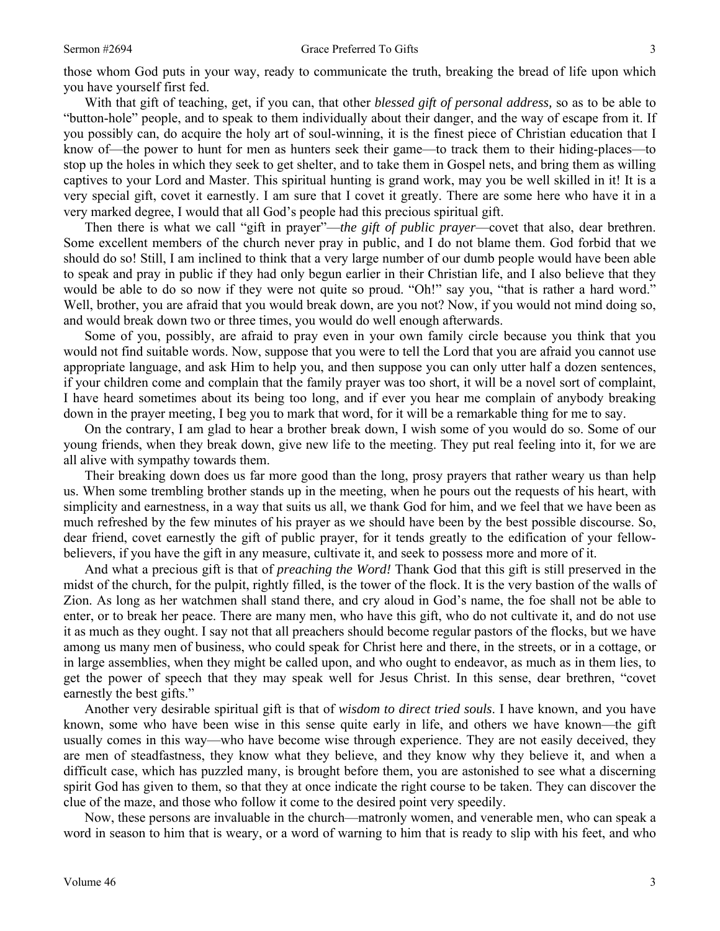those whom God puts in your way, ready to communicate the truth, breaking the bread of life upon which you have yourself first fed.

With that gift of teaching, get, if you can, that other *blessed gift of personal address,* so as to be able to "button-hole" people, and to speak to them individually about their danger, and the way of escape from it. If you possibly can, do acquire the holy art of soul-winning, it is the finest piece of Christian education that I know of—the power to hunt for men as hunters seek their game—to track them to their hiding-places—to stop up the holes in which they seek to get shelter, and to take them in Gospel nets, and bring them as willing captives to your Lord and Master. This spiritual hunting is grand work, may you be well skilled in it! It is a very special gift, covet it earnestly. I am sure that I covet it greatly. There are some here who have it in a very marked degree, I would that all God's people had this precious spiritual gift.

Then there is what we call "gift in prayer"—*the gift of public prayer*—covet that also, dear brethren. Some excellent members of the church never pray in public, and I do not blame them. God forbid that we should do so! Still, I am inclined to think that a very large number of our dumb people would have been able to speak and pray in public if they had only begun earlier in their Christian life, and I also believe that they would be able to do so now if they were not quite so proud. "Oh!" say you, "that is rather a hard word." Well, brother, you are afraid that you would break down, are you not? Now, if you would not mind doing so, and would break down two or three times, you would do well enough afterwards.

Some of you, possibly, are afraid to pray even in your own family circle because you think that you would not find suitable words. Now, suppose that you were to tell the Lord that you are afraid you cannot use appropriate language, and ask Him to help you, and then suppose you can only utter half a dozen sentences, if your children come and complain that the family prayer was too short, it will be a novel sort of complaint, I have heard sometimes about its being too long, and if ever you hear me complain of anybody breaking down in the prayer meeting, I beg you to mark that word, for it will be a remarkable thing for me to say.

On the contrary, I am glad to hear a brother break down, I wish some of you would do so. Some of our young friends, when they break down, give new life to the meeting. They put real feeling into it, for we are all alive with sympathy towards them.

Their breaking down does us far more good than the long, prosy prayers that rather weary us than help us. When some trembling brother stands up in the meeting, when he pours out the requests of his heart, with simplicity and earnestness, in a way that suits us all, we thank God for him, and we feel that we have been as much refreshed by the few minutes of his prayer as we should have been by the best possible discourse. So, dear friend, covet earnestly the gift of public prayer, for it tends greatly to the edification of your fellowbelievers, if you have the gift in any measure, cultivate it, and seek to possess more and more of it.

And what a precious gift is that of *preaching the Word!* Thank God that this gift is still preserved in the midst of the church, for the pulpit, rightly filled, is the tower of the flock. It is the very bastion of the walls of Zion. As long as her watchmen shall stand there, and cry aloud in God's name, the foe shall not be able to enter, or to break her peace. There are many men, who have this gift, who do not cultivate it, and do not use it as much as they ought. I say not that all preachers should become regular pastors of the flocks, but we have among us many men of business, who could speak for Christ here and there, in the streets, or in a cottage, or in large assemblies, when they might be called upon, and who ought to endeavor, as much as in them lies, to get the power of speech that they may speak well for Jesus Christ. In this sense, dear brethren, "covet earnestly the best gifts."

Another very desirable spiritual gift is that of *wisdom to direct tried souls*. I have known, and you have known, some who have been wise in this sense quite early in life, and others we have known—the gift usually comes in this way—who have become wise through experience. They are not easily deceived, they are men of steadfastness, they know what they believe, and they know why they believe it, and when a difficult case, which has puzzled many, is brought before them, you are astonished to see what a discerning spirit God has given to them, so that they at once indicate the right course to be taken. They can discover the clue of the maze, and those who follow it come to the desired point very speedily.

Now, these persons are invaluable in the church—matronly women, and venerable men, who can speak a word in season to him that is weary, or a word of warning to him that is ready to slip with his feet, and who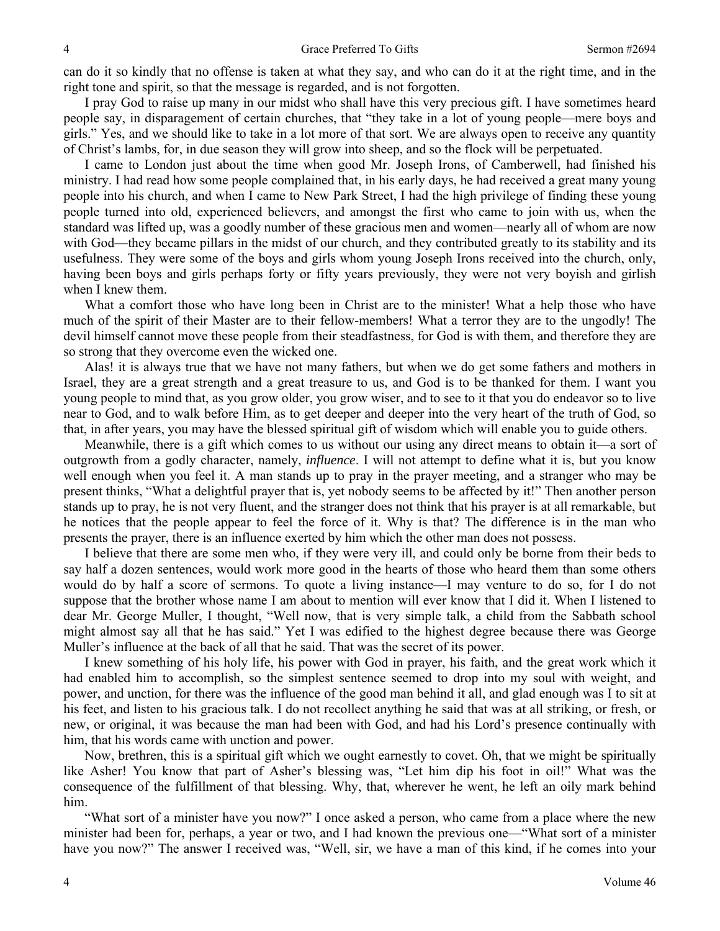can do it so kindly that no offense is taken at what they say, and who can do it at the right time, and in the right tone and spirit, so that the message is regarded, and is not forgotten.

I pray God to raise up many in our midst who shall have this very precious gift. I have sometimes heard people say, in disparagement of certain churches, that "they take in a lot of young people—mere boys and girls." Yes, and we should like to take in a lot more of that sort. We are always open to receive any quantity of Christ's lambs, for, in due season they will grow into sheep, and so the flock will be perpetuated.

I came to London just about the time when good Mr. Joseph Irons, of Camberwell, had finished his ministry. I had read how some people complained that, in his early days, he had received a great many young people into his church, and when I came to New Park Street, I had the high privilege of finding these young people turned into old, experienced believers, and amongst the first who came to join with us, when the standard was lifted up, was a goodly number of these gracious men and women—nearly all of whom are now with God—they became pillars in the midst of our church, and they contributed greatly to its stability and its usefulness. They were some of the boys and girls whom young Joseph Irons received into the church, only, having been boys and girls perhaps forty or fifty years previously, they were not very boyish and girlish when I knew them.

What a comfort those who have long been in Christ are to the minister! What a help those who have much of the spirit of their Master are to their fellow-members! What a terror they are to the ungodly! The devil himself cannot move these people from their steadfastness, for God is with them, and therefore they are so strong that they overcome even the wicked one.

Alas! it is always true that we have not many fathers, but when we do get some fathers and mothers in Israel, they are a great strength and a great treasure to us, and God is to be thanked for them. I want you young people to mind that, as you grow older, you grow wiser, and to see to it that you do endeavor so to live near to God, and to walk before Him, as to get deeper and deeper into the very heart of the truth of God, so that, in after years, you may have the blessed spiritual gift of wisdom which will enable you to guide others.

Meanwhile, there is a gift which comes to us without our using any direct means to obtain it—a sort of outgrowth from a godly character, namely, *influence*. I will not attempt to define what it is, but you know well enough when you feel it. A man stands up to pray in the prayer meeting, and a stranger who may be present thinks, "What a delightful prayer that is, yet nobody seems to be affected by it!" Then another person stands up to pray, he is not very fluent, and the stranger does not think that his prayer is at all remarkable, but he notices that the people appear to feel the force of it. Why is that? The difference is in the man who presents the prayer, there is an influence exerted by him which the other man does not possess.

I believe that there are some men who, if they were very ill, and could only be borne from their beds to say half a dozen sentences, would work more good in the hearts of those who heard them than some others would do by half a score of sermons. To quote a living instance—I may venture to do so, for I do not suppose that the brother whose name I am about to mention will ever know that I did it. When I listened to dear Mr. George Muller, I thought, "Well now, that is very simple talk, a child from the Sabbath school might almost say all that he has said." Yet I was edified to the highest degree because there was George Muller's influence at the back of all that he said. That was the secret of its power.

I knew something of his holy life, his power with God in prayer, his faith, and the great work which it had enabled him to accomplish, so the simplest sentence seemed to drop into my soul with weight, and power, and unction, for there was the influence of the good man behind it all, and glad enough was I to sit at his feet, and listen to his gracious talk. I do not recollect anything he said that was at all striking, or fresh, or new, or original, it was because the man had been with God, and had his Lord's presence continually with him, that his words came with unction and power.

Now, brethren, this is a spiritual gift which we ought earnestly to covet. Oh, that we might be spiritually like Asher! You know that part of Asher's blessing was, "Let him dip his foot in oil!" What was the consequence of the fulfillment of that blessing. Why, that, wherever he went, he left an oily mark behind him.

"What sort of a minister have you now?" I once asked a person, who came from a place where the new minister had been for, perhaps, a year or two, and I had known the previous one—"What sort of a minister have you now?" The answer I received was, "Well, sir, we have a man of this kind, if he comes into your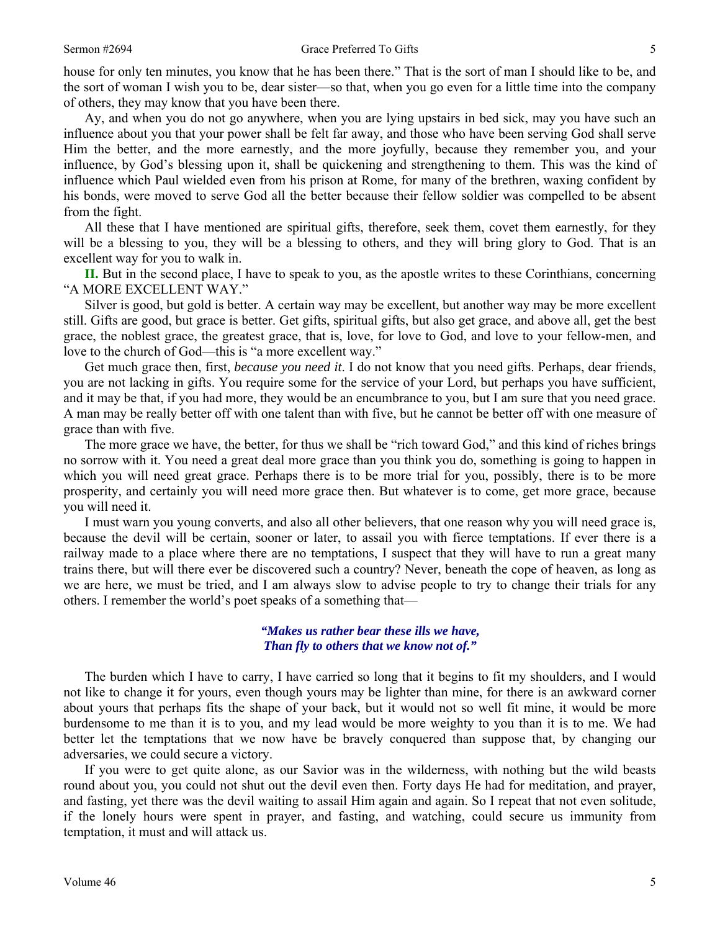house for only ten minutes, you know that he has been there." That is the sort of man I should like to be, and the sort of woman I wish you to be, dear sister—so that, when you go even for a little time into the company of others, they may know that you have been there.

Ay, and when you do not go anywhere, when you are lying upstairs in bed sick, may you have such an influence about you that your power shall be felt far away, and those who have been serving God shall serve Him the better, and the more earnestly, and the more joyfully, because they remember you, and your influence, by God's blessing upon it, shall be quickening and strengthening to them. This was the kind of influence which Paul wielded even from his prison at Rome, for many of the brethren, waxing confident by his bonds, were moved to serve God all the better because their fellow soldier was compelled to be absent from the fight.

All these that I have mentioned are spiritual gifts, therefore, seek them, covet them earnestly, for they will be a blessing to you, they will be a blessing to others, and they will bring glory to God. That is an excellent way for you to walk in.

**II.** But in the second place, I have to speak to you, as the apostle writes to these Corinthians, concerning "A MORE EXCELLENT WAY."

Silver is good, but gold is better. A certain way may be excellent, but another way may be more excellent still. Gifts are good, but grace is better. Get gifts, spiritual gifts, but also get grace, and above all, get the best grace, the noblest grace, the greatest grace, that is, love, for love to God, and love to your fellow-men, and love to the church of God—this is "a more excellent way."

Get much grace then, first, *because you need it*. I do not know that you need gifts. Perhaps, dear friends, you are not lacking in gifts. You require some for the service of your Lord, but perhaps you have sufficient, and it may be that, if you had more, they would be an encumbrance to you, but I am sure that you need grace. A man may be really better off with one talent than with five, but he cannot be better off with one measure of grace than with five.

The more grace we have, the better, for thus we shall be "rich toward God," and this kind of riches brings no sorrow with it. You need a great deal more grace than you think you do, something is going to happen in which you will need great grace. Perhaps there is to be more trial for you, possibly, there is to be more prosperity, and certainly you will need more grace then. But whatever is to come, get more grace, because you will need it.

I must warn you young converts, and also all other believers, that one reason why you will need grace is, because the devil will be certain, sooner or later, to assail you with fierce temptations. If ever there is a railway made to a place where there are no temptations, I suspect that they will have to run a great many trains there, but will there ever be discovered such a country? Never, beneath the cope of heaven, as long as we are here, we must be tried, and I am always slow to advise people to try to change their trials for any others. I remember the world's poet speaks of a something that—

### *"Makes us rather bear these ills we have, Than fly to others that we know not of."*

The burden which I have to carry, I have carried so long that it begins to fit my shoulders, and I would not like to change it for yours, even though yours may be lighter than mine, for there is an awkward corner about yours that perhaps fits the shape of your back, but it would not so well fit mine, it would be more burdensome to me than it is to you, and my lead would be more weighty to you than it is to me. We had better let the temptations that we now have be bravely conquered than suppose that, by changing our adversaries, we could secure a victory.

If you were to get quite alone, as our Savior was in the wilderness, with nothing but the wild beasts round about you, you could not shut out the devil even then. Forty days He had for meditation, and prayer, and fasting, yet there was the devil waiting to assail Him again and again. So I repeat that not even solitude, if the lonely hours were spent in prayer, and fasting, and watching, could secure us immunity from temptation, it must and will attack us.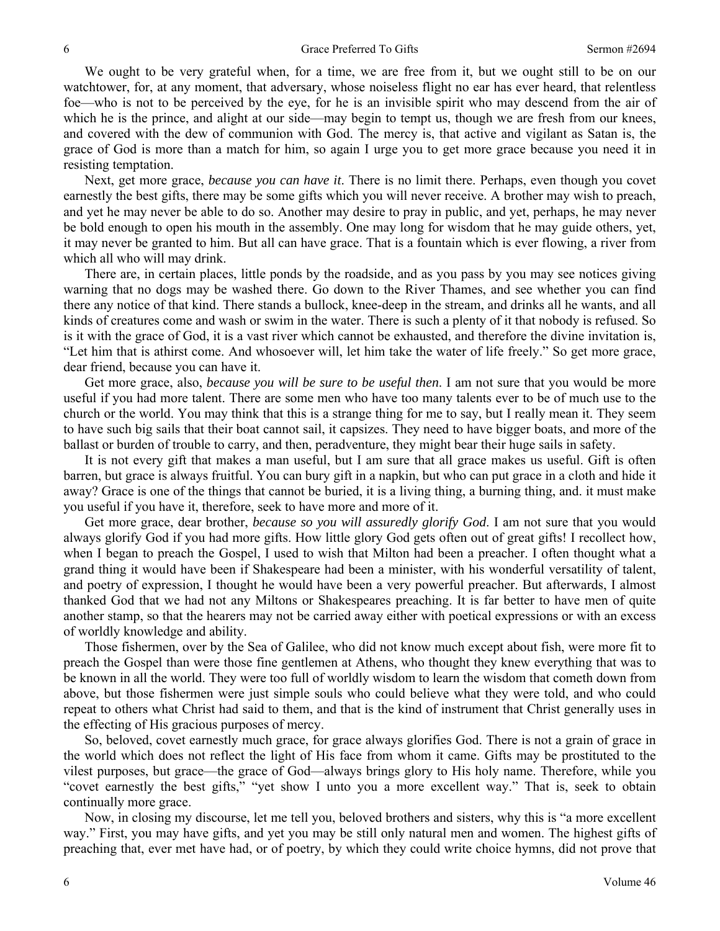We ought to be very grateful when, for a time, we are free from it, but we ought still to be on our watchtower, for, at any moment, that adversary, whose noiseless flight no ear has ever heard, that relentless foe—who is not to be perceived by the eye, for he is an invisible spirit who may descend from the air of which he is the prince, and alight at our side—may begin to tempt us, though we are fresh from our knees, and covered with the dew of communion with God. The mercy is, that active and vigilant as Satan is, the grace of God is more than a match for him, so again I urge you to get more grace because you need it in resisting temptation.

Next, get more grace, *because you can have it*. There is no limit there. Perhaps, even though you covet earnestly the best gifts, there may be some gifts which you will never receive. A brother may wish to preach, and yet he may never be able to do so. Another may desire to pray in public, and yet, perhaps, he may never be bold enough to open his mouth in the assembly. One may long for wisdom that he may guide others, yet, it may never be granted to him. But all can have grace. That is a fountain which is ever flowing, a river from which all who will may drink.

There are, in certain places, little ponds by the roadside, and as you pass by you may see notices giving warning that no dogs may be washed there. Go down to the River Thames, and see whether you can find there any notice of that kind. There stands a bullock, knee-deep in the stream, and drinks all he wants, and all kinds of creatures come and wash or swim in the water. There is such a plenty of it that nobody is refused. So is it with the grace of God, it is a vast river which cannot be exhausted, and therefore the divine invitation is, "Let him that is athirst come. And whosoever will, let him take the water of life freely." So get more grace, dear friend, because you can have it.

Get more grace, also, *because you will be sure to be useful then*. I am not sure that you would be more useful if you had more talent. There are some men who have too many talents ever to be of much use to the church or the world. You may think that this is a strange thing for me to say, but I really mean it. They seem to have such big sails that their boat cannot sail, it capsizes. They need to have bigger boats, and more of the ballast or burden of trouble to carry, and then, peradventure, they might bear their huge sails in safety.

It is not every gift that makes a man useful, but I am sure that all grace makes us useful. Gift is often barren, but grace is always fruitful. You can bury gift in a napkin, but who can put grace in a cloth and hide it away? Grace is one of the things that cannot be buried, it is a living thing, a burning thing, and. it must make you useful if you have it, therefore, seek to have more and more of it.

Get more grace, dear brother, *because so you will assuredly glorify God*. I am not sure that you would always glorify God if you had more gifts. How little glory God gets often out of great gifts! I recollect how, when I began to preach the Gospel, I used to wish that Milton had been a preacher. I often thought what a grand thing it would have been if Shakespeare had been a minister, with his wonderful versatility of talent, and poetry of expression, I thought he would have been a very powerful preacher. But afterwards, I almost thanked God that we had not any Miltons or Shakespeares preaching. It is far better to have men of quite another stamp, so that the hearers may not be carried away either with poetical expressions or with an excess of worldly knowledge and ability.

Those fishermen, over by the Sea of Galilee, who did not know much except about fish, were more fit to preach the Gospel than were those fine gentlemen at Athens, who thought they knew everything that was to be known in all the world. They were too full of worldly wisdom to learn the wisdom that cometh down from above, but those fishermen were just simple souls who could believe what they were told, and who could repeat to others what Christ had said to them, and that is the kind of instrument that Christ generally uses in the effecting of His gracious purposes of mercy.

So, beloved, covet earnestly much grace, for grace always glorifies God. There is not a grain of grace in the world which does not reflect the light of His face from whom it came. Gifts may be prostituted to the vilest purposes, but grace—the grace of God—always brings glory to His holy name. Therefore, while you "covet earnestly the best gifts," "yet show I unto you a more excellent way." That is, seek to obtain continually more grace.

Now, in closing my discourse, let me tell you, beloved brothers and sisters, why this is "a more excellent way." First, you may have gifts, and yet you may be still only natural men and women. The highest gifts of preaching that, ever met have had, or of poetry, by which they could write choice hymns, did not prove that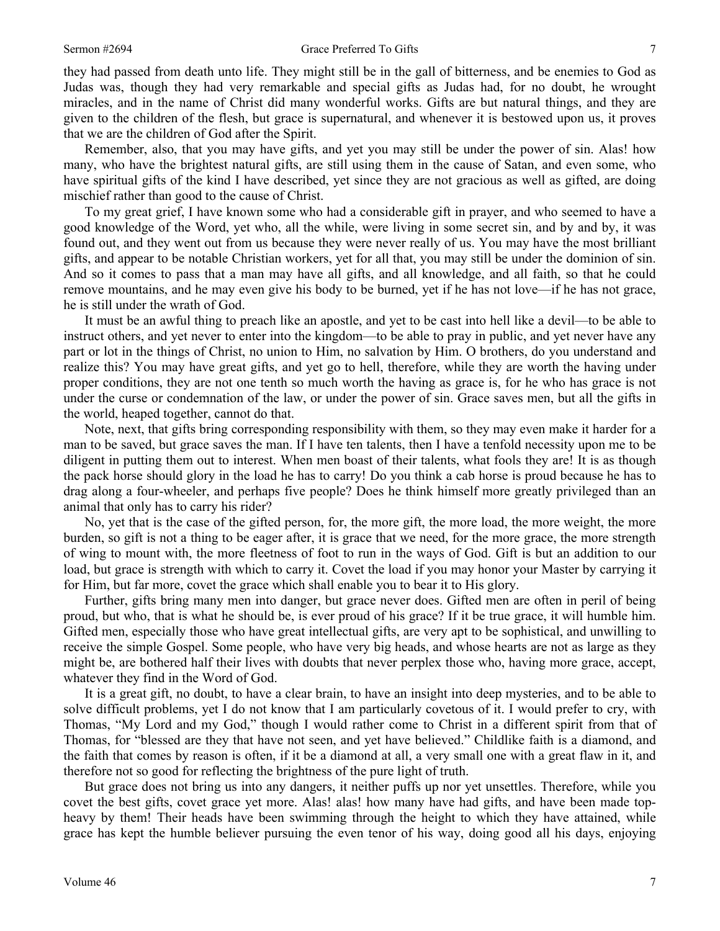### Sermon #2694 Grace Preferred To Gifts 7

they had passed from death unto life. They might still be in the gall of bitterness, and be enemies to God as Judas was, though they had very remarkable and special gifts as Judas had, for no doubt, he wrought miracles, and in the name of Christ did many wonderful works. Gifts are but natural things, and they are given to the children of the flesh, but grace is supernatural, and whenever it is bestowed upon us, it proves that we are the children of God after the Spirit.

Remember, also, that you may have gifts, and yet you may still be under the power of sin. Alas! how many, who have the brightest natural gifts, are still using them in the cause of Satan, and even some, who have spiritual gifts of the kind I have described, yet since they are not gracious as well as gifted, are doing mischief rather than good to the cause of Christ.

To my great grief, I have known some who had a considerable gift in prayer, and who seemed to have a good knowledge of the Word, yet who, all the while, were living in some secret sin, and by and by, it was found out, and they went out from us because they were never really of us. You may have the most brilliant gifts, and appear to be notable Christian workers, yet for all that, you may still be under the dominion of sin. And so it comes to pass that a man may have all gifts, and all knowledge, and all faith, so that he could remove mountains, and he may even give his body to be burned, yet if he has not love—if he has not grace, he is still under the wrath of God.

It must be an awful thing to preach like an apostle, and yet to be cast into hell like a devil—to be able to instruct others, and yet never to enter into the kingdom—to be able to pray in public, and yet never have any part or lot in the things of Christ, no union to Him, no salvation by Him. O brothers, do you understand and realize this? You may have great gifts, and yet go to hell, therefore, while they are worth the having under proper conditions, they are not one tenth so much worth the having as grace is, for he who has grace is not under the curse or condemnation of the law, or under the power of sin. Grace saves men, but all the gifts in the world, heaped together, cannot do that.

Note, next, that gifts bring corresponding responsibility with them, so they may even make it harder for a man to be saved, but grace saves the man. If I have ten talents, then I have a tenfold necessity upon me to be diligent in putting them out to interest. When men boast of their talents, what fools they are! It is as though the pack horse should glory in the load he has to carry! Do you think a cab horse is proud because he has to drag along a four-wheeler, and perhaps five people? Does he think himself more greatly privileged than an animal that only has to carry his rider?

No, yet that is the case of the gifted person, for, the more gift, the more load, the more weight, the more burden, so gift is not a thing to be eager after, it is grace that we need, for the more grace, the more strength of wing to mount with, the more fleetness of foot to run in the ways of God. Gift is but an addition to our load, but grace is strength with which to carry it. Covet the load if you may honor your Master by carrying it for Him, but far more, covet the grace which shall enable you to bear it to His glory.

Further, gifts bring many men into danger, but grace never does. Gifted men are often in peril of being proud, but who, that is what he should be, is ever proud of his grace? If it be true grace, it will humble him. Gifted men, especially those who have great intellectual gifts, are very apt to be sophistical, and unwilling to receive the simple Gospel. Some people, who have very big heads, and whose hearts are not as large as they might be, are bothered half their lives with doubts that never perplex those who, having more grace, accept, whatever they find in the Word of God.

It is a great gift, no doubt, to have a clear brain, to have an insight into deep mysteries, and to be able to solve difficult problems, yet I do not know that I am particularly covetous of it. I would prefer to cry, with Thomas, "My Lord and my God," though I would rather come to Christ in a different spirit from that of Thomas, for "blessed are they that have not seen, and yet have believed." Childlike faith is a diamond, and the faith that comes by reason is often, if it be a diamond at all, a very small one with a great flaw in it, and therefore not so good for reflecting the brightness of the pure light of truth.

But grace does not bring us into any dangers, it neither puffs up nor yet unsettles. Therefore, while you covet the best gifts, covet grace yet more. Alas! alas! how many have had gifts, and have been made topheavy by them! Their heads have been swimming through the height to which they have attained, while grace has kept the humble believer pursuing the even tenor of his way, doing good all his days, enjoying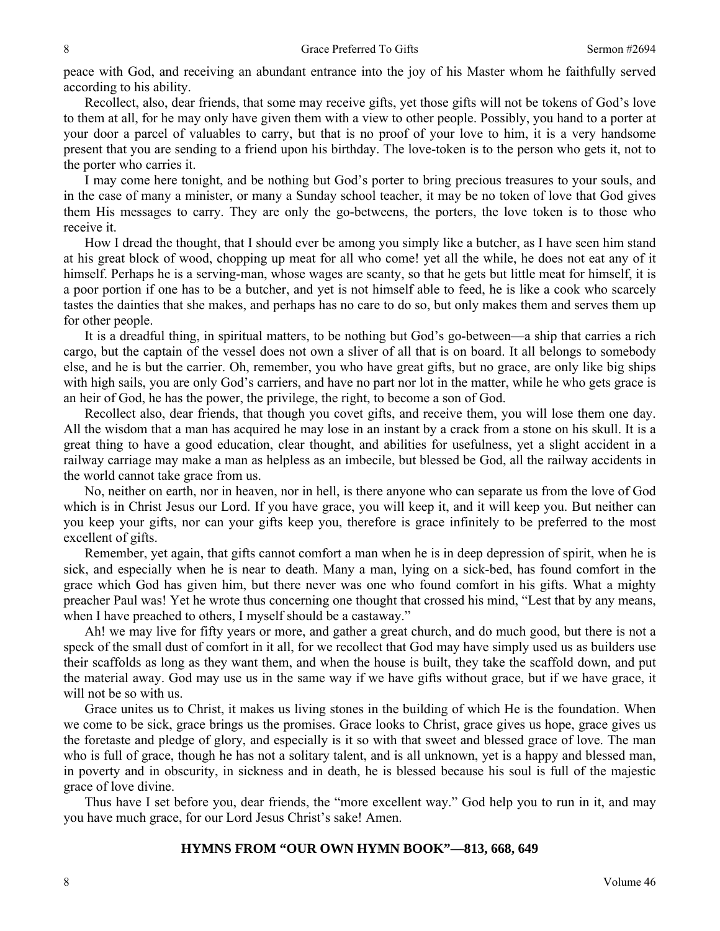peace with God, and receiving an abundant entrance into the joy of his Master whom he faithfully served according to his ability.

Recollect, also, dear friends, that some may receive gifts, yet those gifts will not be tokens of God's love to them at all, for he may only have given them with a view to other people. Possibly, you hand to a porter at your door a parcel of valuables to carry, but that is no proof of your love to him, it is a very handsome present that you are sending to a friend upon his birthday. The love-token is to the person who gets it, not to the porter who carries it.

I may come here tonight, and be nothing but God's porter to bring precious treasures to your souls, and in the case of many a minister, or many a Sunday school teacher, it may be no token of love that God gives them His messages to carry. They are only the go-betweens, the porters, the love token is to those who receive it.

How I dread the thought, that I should ever be among you simply like a butcher, as I have seen him stand at his great block of wood, chopping up meat for all who come! yet all the while, he does not eat any of it himself. Perhaps he is a serving-man, whose wages are scanty, so that he gets but little meat for himself, it is a poor portion if one has to be a butcher, and yet is not himself able to feed, he is like a cook who scarcely tastes the dainties that she makes, and perhaps has no care to do so, but only makes them and serves them up for other people.

It is a dreadful thing, in spiritual matters, to be nothing but God's go-between—a ship that carries a rich cargo, but the captain of the vessel does not own a sliver of all that is on board. It all belongs to somebody else, and he is but the carrier. Oh, remember, you who have great gifts, but no grace, are only like big ships with high sails, you are only God's carriers, and have no part nor lot in the matter, while he who gets grace is an heir of God, he has the power, the privilege, the right, to become a son of God.

Recollect also, dear friends, that though you covet gifts, and receive them, you will lose them one day. All the wisdom that a man has acquired he may lose in an instant by a crack from a stone on his skull. It is a great thing to have a good education, clear thought, and abilities for usefulness, yet a slight accident in a railway carriage may make a man as helpless as an imbecile, but blessed be God, all the railway accidents in the world cannot take grace from us.

No, neither on earth, nor in heaven, nor in hell, is there anyone who can separate us from the love of God which is in Christ Jesus our Lord. If you have grace, you will keep it, and it will keep you. But neither can you keep your gifts, nor can your gifts keep you, therefore is grace infinitely to be preferred to the most excellent of gifts.

Remember, yet again, that gifts cannot comfort a man when he is in deep depression of spirit, when he is sick, and especially when he is near to death. Many a man, lying on a sick-bed, has found comfort in the grace which God has given him, but there never was one who found comfort in his gifts. What a mighty preacher Paul was! Yet he wrote thus concerning one thought that crossed his mind, "Lest that by any means, when I have preached to others, I myself should be a castaway."

Ah! we may live for fifty years or more, and gather a great church, and do much good, but there is not a speck of the small dust of comfort in it all, for we recollect that God may have simply used us as builders use their scaffolds as long as they want them, and when the house is built, they take the scaffold down, and put the material away. God may use us in the same way if we have gifts without grace, but if we have grace, it will not be so with us.

Grace unites us to Christ, it makes us living stones in the building of which He is the foundation. When we come to be sick, grace brings us the promises. Grace looks to Christ, grace gives us hope, grace gives us the foretaste and pledge of glory, and especially is it so with that sweet and blessed grace of love. The man who is full of grace, though he has not a solitary talent, and is all unknown, yet is a happy and blessed man, in poverty and in obscurity, in sickness and in death, he is blessed because his soul is full of the majestic grace of love divine.

Thus have I set before you, dear friends, the "more excellent way." God help you to run in it, and may you have much grace, for our Lord Jesus Christ's sake! Amen.

### **HYMNS FROM "OUR OWN HYMN BOOK"—813, 668, 649**